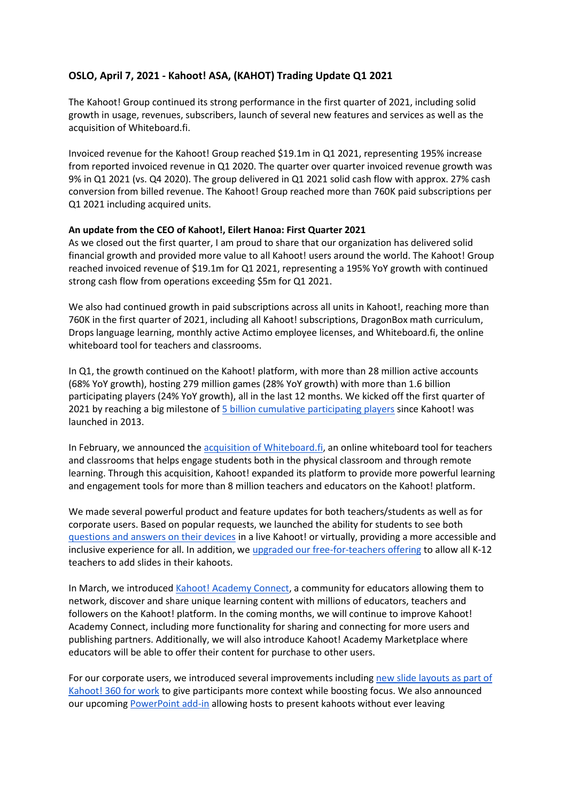# **OSLO, April 7, 2021 - Kahoot! ASA, (KAHOT) Trading Update Q1 2021**

The Kahoot! Group continued its strong performance in the first quarter of 2021, including solid growth in usage, revenues, subscribers, launch of several new features and services as well as the acquisition of Whiteboard.fi.

Invoiced revenue for the Kahoot! Group reached \$19.1m in Q1 2021, representing 195% increase from reported invoiced revenue in Q1 2020. The quarter over quarter invoiced revenue growth was 9% in Q1 2021 (vs. Q4 2020). The group delivered in Q1 2021 solid cash flow with approx. 27% cash conversion from billed revenue. The Kahoot! Group reached more than 760K paid subscriptions per Q1 2021 including acquired units.

#### **An update from the CEO of Kahoot!, Eilert Hanoa: First Quarter 2021**

As we closed out the first quarter, I am proud to share that our organization has delivered solid financial growth and provided more value to all Kahoot! users around the world. The Kahoot! Group reached invoiced revenue of \$19.1m for Q1 2021, representing a 195% YoY growth with continued strong cash flow from operations exceeding \$5m for Q1 2021.

We also had continued growth in paid subscriptions across all units in Kahoot!, reaching more than 760K in the first quarter of 2021, including all Kahoot! subscriptions, DragonBox math curriculum, Drops language learning, monthly active Actimo employee licenses, and Whiteboard.fi, the online whiteboard tool for teachers and classrooms.

In Q1, the growth continued on the Kahoot! platform, with more than 28 million active accounts (68% YoY growth), hosting 279 million games (28% YoY growth) with more than 1.6 billion participating players (24% YoY growth), all in the last 12 months. We kicked off the first quarter of 2021 by reaching a big milestone of [5 billion cumulative participating players](https://kahoot.com/blog/2021/01/05/kahoot-5-billion-players-year-record-high-growth/) since Kahoot! was launched in 2013.

In February, we announced the [acquisition of Whiteboard.fi,](https://kahoot.com/blog/2021/02/23/kahoot-acquires-whiteboard-fi-to-provide-more-powerful-and-engaging-learning-tools-for-all-educators/) an online whiteboard tool for teachers and classrooms that helps engage students both in the physical classroom and through remote learning. Through this acquisition, Kahoot! expanded its platform to provide more powerful learning and engagement tools for more than 8 million teachers and educators on the Kahoot! platform.

We made several powerful product and feature updates for both teachers/students as well as for corporate users. Based on popular requests, we launched the ability for students to see both [questions and answers on their devices](https://kahoot.com/blog/2021/03/04/questions-answers-on-students-devices/) in a live Kahoot! or virtually, providing a more accessible and inclusive experience for all. In addition, we [upgraded our free-for-teachers offering](https://kahoot.com/blog/2021/03/09/teach-engage-slides-kahoot-teachers-students/) to allow all K-12 teachers to add slides in their kahoots.

In March, we introduce[d Kahoot! Academy Connect,](https://kahoot.com/blog/2021/03/25/announcing-kahoot-academy-connect/) a community for educators allowing them to network, discover and share unique learning content with millions of educators, teachers and followers on the Kahoot! platform. In the coming months, we will continue to improve Kahoot! Academy Connect, including more functionality for sharing and connecting for more users and publishing partners. Additionally, we will also introduce Kahoot! Academy Marketplace where educators will be able to offer their content for purchase to other users.

For our corporate users, we introduced several improvements including [new slide layouts as part of](https://kahoot.com/blog/2021/03/10/new-kahoot-slide-layouts/)  [Kahoot! 360 for work](https://kahoot.com/blog/2021/03/10/new-kahoot-slide-layouts/) to give participants more context while boosting focus. We also announced our upcomin[g PowerPoint add-in](https://kahoot.com/blog/2021/03/26/kahoot-integrates-powerpoint-make-presentations-awesome/) allowing hosts to present kahoots without ever leaving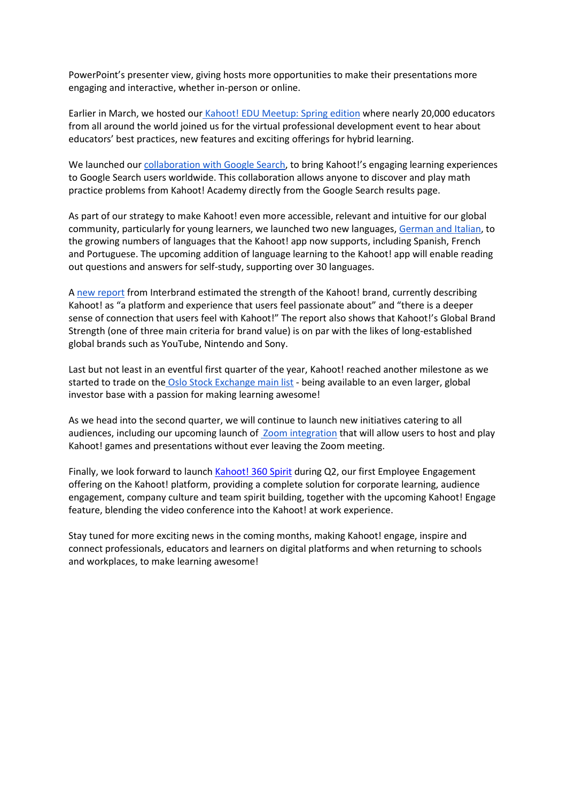PowerPoint's presenter view, giving hosts more opportunities to make their presentations more engaging and interactive, whether in-person or online.

Earlier in March, we hosted our [Kahoot! EDU Meetup: Spring edition](https://kahoot.com/blog/2021/03/19/kahoot-edu-meetup-spring-edition-takeaways/) where nearly 20,000 educators from all around the world joined us for the virtual professional development event to hear about educators' best practices, new features and exciting offerings for hybrid learning.

We launched our [collaboration with Google Search](https://kahoot.com/blog/2021/03/23/kahoot-google-search-practice-problems/), to bring Kahoot!'s engaging learning experiences to Google Search users worldwide. This collaboration allows anyone to discover and play math practice problems from Kahoot! Academy directly from the Google Search results page.

As part of our strategy to make Kahoot! even more accessible, relevant and intuitive for our global community, particularly for young learners, we launched two new languages, [German and Italian,](https://kahoot.com/blog/2021/03/24/kahoot-app-german-and-italian/) to the growing numbers of languages that the Kahoot! app now supports, including Spanish, French and Portuguese. The upcoming addition of language learning to the Kahoot! app will enable reading out questions and answers for self-study, supporting over 30 languages.

A [new report](https://kahoot.com/blog/2021/03/30/kahoot-brand-value-report/) from Interbrand estimated the strength of the Kahoot! brand, currently describing Kahoot! as "a platform and experience that users feel passionate about" and "there is a deeper sense of connection that users feel with Kahoot!" The report also shows that Kahoot!'s Global Brand Strength (one of three main criteria for brand value) is on par with the likes of long-established global brands such as YouTube, Nintendo and Sony.

Last but not least in an eventful first quarter of the year, Kahoot! reached another milestone as we started to trade on the [Oslo Stock Exchange main list](https://kahoot.com/blog/2021/03/18/kahoot-starts-trading-oslo-stock-exchange-main-list/) - being available to an even larger, global investor base with a passion for making learning awesome!

As we head into the second quarter, we will continue to launch new initiatives catering to all audiences, including our upcoming launch of [Zoom integration](https://kahoot.com/blog/2020/10/14/kahoot-zoom-new-integration-engagement-distance-learning-video-conferencing/) that will allow users to host and play Kahoot! games and presentations without ever leaving the Zoom meeting.

Finally, we look forward to launch [Kahoot! 360 Spirit](https://kahoot.com/business/products/enterprise/spirit/) during Q2, our first Employee Engagement offering on the Kahoot! platform, providing a complete solution for corporate learning, audience engagement, company culture and team spirit building, together with the upcoming Kahoot! Engage feature, blending the video conference into the Kahoot! at work experience.

Stay tuned for more exciting news in the coming months, making Kahoot! engage, inspire and connect professionals, educators and learners on digital platforms and when returning to schools and workplaces, to make learning awesome!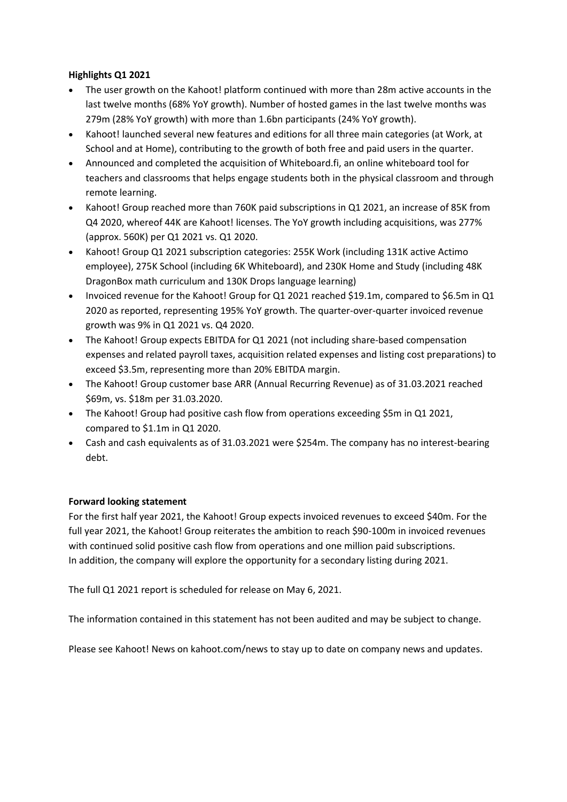### **Highlights Q1 2021**

- The user growth on the Kahoot! platform continued with more than 28m active accounts in the last twelve months (68% YoY growth). Number of hosted games in the last twelve months was 279m (28% YoY growth) with more than 1.6bn participants (24% YoY growth).
- Kahoot! launched several new features and editions for all three main categories (at Work, at School and at Home), contributing to the growth of both free and paid users in the quarter.
- Announced and completed the acquisition of Whiteboard.fi, an online whiteboard tool for teachers and classrooms that helps engage students both in the physical classroom and through remote learning.
- Kahoot! Group reached more than 760K paid subscriptions in Q1 2021, an increase of 85K from Q4 2020, whereof 44K are Kahoot! licenses. The YoY growth including acquisitions, was 277% (approx. 560K) per Q1 2021 vs. Q1 2020.
- Kahoot! Group Q1 2021 subscription categories: 255K Work (including 131K active Actimo employee), 275K School (including 6K Whiteboard), and 230K Home and Study (including 48K DragonBox math curriculum and 130K Drops language learning)
- Invoiced revenue for the Kahoot! Group for Q1 2021 reached \$19.1m, compared to \$6.5m in Q1 2020 as reported, representing 195% YoY growth. The quarter-over-quarter invoiced revenue growth was 9% in Q1 2021 vs. Q4 2020.
- The Kahoot! Group expects EBITDA for Q1 2021 (not including share-based compensation expenses and related payroll taxes, acquisition related expenses and listing cost preparations) to exceed \$3.5m, representing more than 20% EBITDA margin.
- The Kahoot! Group customer base ARR (Annual Recurring Revenue) as of 31.03.2021 reached \$69m, vs. \$18m per 31.03.2020.
- The Kahoot! Group had positive cash flow from operations exceeding \$5m in Q1 2021, compared to \$1.1m in Q1 2020.
- Cash and cash equivalents as of 31.03.2021 were \$254m. The company has no interest-bearing debt.

## **Forward looking statement**

For the first half year 2021, the Kahoot! Group expects invoiced revenues to exceed \$40m. For the full year 2021, the Kahoot! Group reiterates the ambition to reach \$90-100m in invoiced revenues with continued solid positive cash flow from operations and one million paid subscriptions. In addition, the company will explore the opportunity for a secondary listing during 2021.

The full Q1 2021 report is scheduled for release on May 6, 2021.

The information contained in this statement has not been audited and may be subject to change.

Please see Kahoot! News on kahoot.com/news to stay up to date on company news and updates.